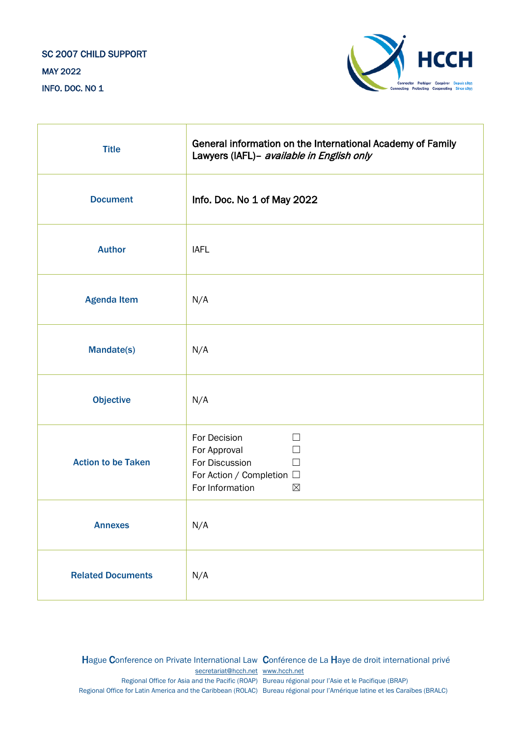# SC 2007 CHILD SUPPORT MAY 2022 INFO. DOC. NO 1



| <b>Title</b>              | General information on the International Academy of Family<br>Lawyers (IAFL)- available in English only                                  |
|---------------------------|------------------------------------------------------------------------------------------------------------------------------------------|
| <b>Document</b>           | Info. Doc. No 1 of May 2022                                                                                                              |
| <b>Author</b>             | <b>IAFL</b>                                                                                                                              |
| <b>Agenda Item</b>        | N/A                                                                                                                                      |
| <b>Mandate(s)</b>         | N/A                                                                                                                                      |
| <b>Objective</b>          | N/A                                                                                                                                      |
| <b>Action to be Taken</b> | For Decision<br>$\Box$<br>For Approval<br>$\mathcal{L}$<br>For Discussion<br>For Action / Completion □<br>For Information<br>$\boxtimes$ |
| <b>Annexes</b>            | N/A                                                                                                                                      |
| <b>Related Documents</b>  | N/A                                                                                                                                      |

Hague Conference on Private International Law Conférence de La Haye de droit international privé [secretariat@hcch.net](mailto:secretariat@hcch.net) [www.hcch.net](http://www.hcch.net/) Regional Office for Asia and the Pacific (ROAP) Bureau régional pour l'Asie et le Pacifique (BRAP) Regional Office for Latin America and the Caribbean (ROLAC) Bureau régional pour l'Amérique latine et les Caraïbes (BRALC)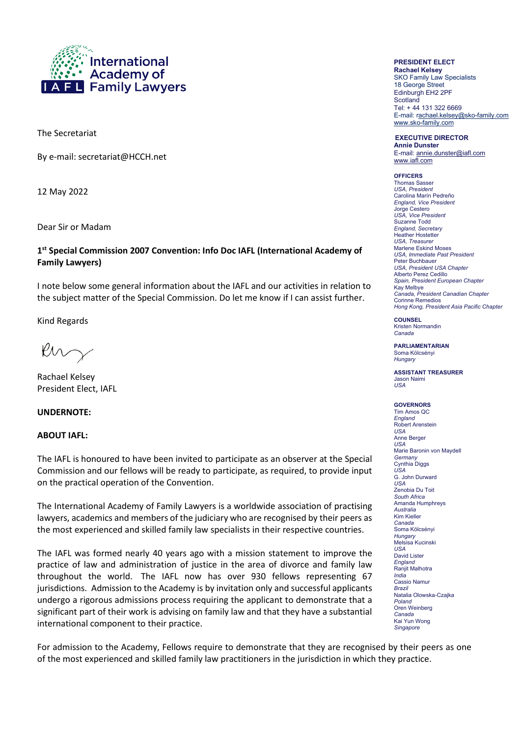

The Secretariat

By e-mail: secretariat@HCCH.net

12 May 2022

Dear Sir or Madam

### **1st Special Commission 2007 Convention: Info Doc IAFL (International Academy of Family Lawyers)**

I note below some general information about the IAFL and our activities in relation to the subject matter of the Special Commission. Do let me know if I can assist further.

Kind Regards

Ruz

Rachael Kelsey President Elect, IAFL

#### **UNDERNOTE:**

#### **ABOUT IAFL:**

The IAFL is honoured to have been invited to participate as an observer at the Special Commission and our fellows will be ready to participate, as required, to provide input on the practical operation of the Convention.

The International Academy of Family Lawyers is a worldwide association of practising lawyers, academics and members of the judiciary who are recognised by their peers as the most experienced and skilled family law specialists in their respective countries.

The IAFL was formed nearly 40 years ago with a mission statement to improve the practice of law and administration of justice in the area of divorce and family law throughout the world. The IAFL now has over 930 fellows representing 67 jurisdictions. Admission to the Academy is by invitation only and successful applicants undergo a rigorous admissions process requiring the applicant to demonstrate that a significant part of their work is advising on family law and that they have a substantial international component to their practice.

# **PRESIDENT ELECT**

**Rachael Kelsey** SKO Family Law Specialists 18 George Street Edinburgh EH2 2PF **Scotland** Tel: + 44 131 322 6669 E-mail: rachael.kelsey@sko-family.com [www.sko-family.com](http://www.sko-family.com/)

# **EXECUTIVE DIRECTOR**

**Annie Dunster** E-mail: annie.dunster@iafl.com www.iafl.com

#### **OFFICERS**

**Thomas Sasse** *USA, President*  Carolina Marín Pedreño *England, Vice President* Jorge Cestero *USA, Vice President*  Suzanne Todd *England, Secretary* Heather Hostetter USA, Treasurer Marlene Eskind Moses *USA, Immediate Past President*  Peter Buchbauer *USA, President USA Chapter*  Alberto Perez Cedillo *Spain, President European Chapter* Kay Melbye *Canada, President Canadian Chapter* Corinne Remedios *Hong Kong, President Asia Pacific Chapter* 

**COUNSEL** Kristen Normandin

*Canada*

**PARLIAMENTARIAN**  Soma Kölcsényi *Hungary*

**ASSISTANT TREASURER** Jason Naimi *USA* 

#### **GOVERNORS**

Tim Amos QC *England* Robert Arenstein *USA*  Anne Berger  $\overline{U}$ SA Marie Baronin von Maydell *Germany* Cynthia Diggs *USA*  G. John Durward *USA*  Zenobia Du Toit *South Africa*  Amanda Humphreys *Australia*  Kim Kieller *Canada* Soma Kölcsényi *Hungary* Melsisa Kucinski *USA*  David Lister *England* Ranjit Malhotra *India*  Cassio Namur *Brazil*  Natalia Olowska-Czajka *Poland* Oren Weinberg *Canada* Kai Yun Wong *Singapore* 

For admission to the Academy, Fellows require to demonstrate that they are recognised by their peers as one of the most experienced and skilled family law practitioners in the jurisdiction in which they practice.